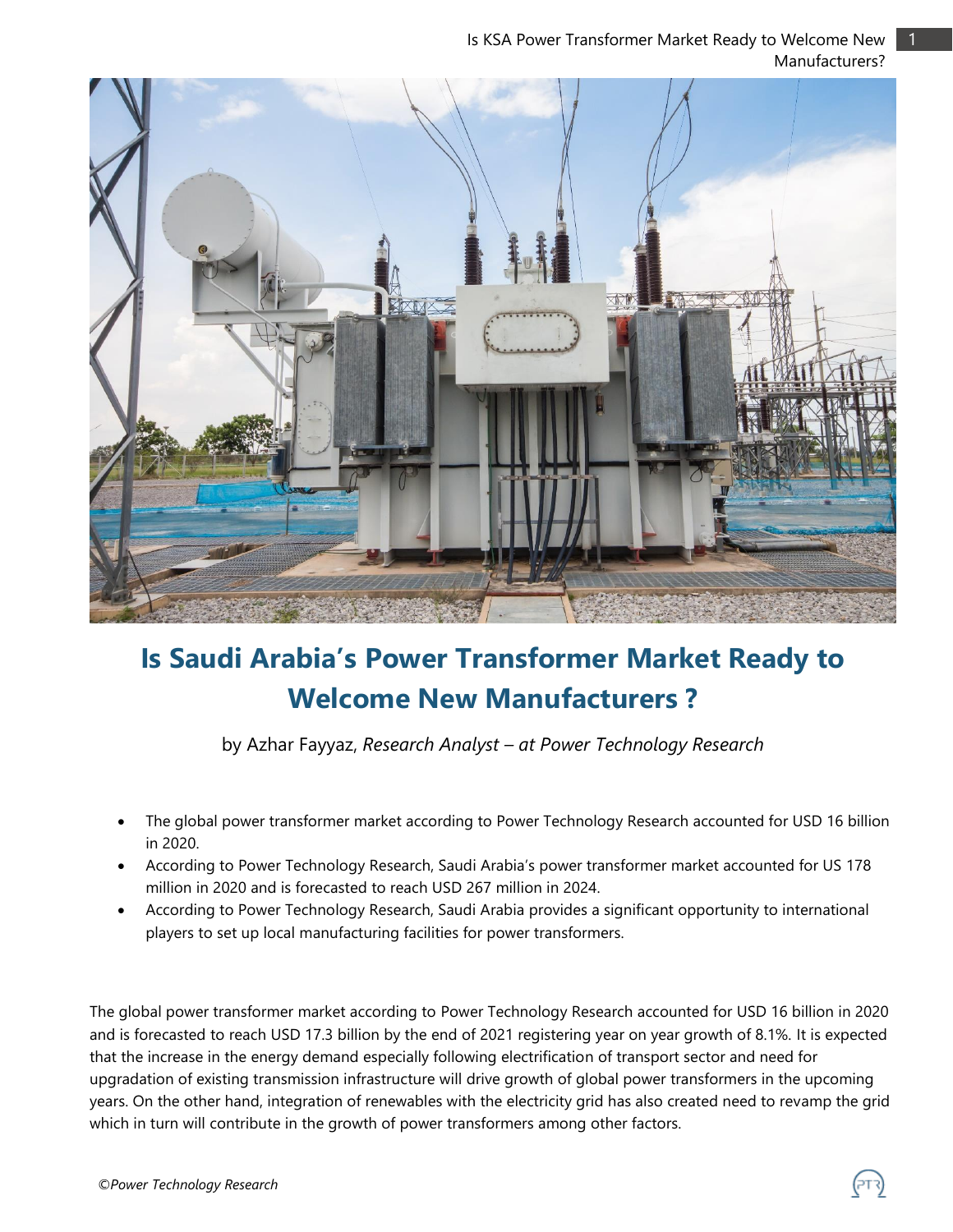

# **Is Saudi Arabia's Power Transformer Market Ready to Welcome New Manufacturers ?**

by Azhar Fayyaz, *Research Analyst – at Power Technology Research*

- The global power transformer market according to Power Technology Research accounted for USD 16 billion in 2020.
- According to Power Technology Research, Saudi Arabia's power transformer market accounted for US 178 million in 2020 and is forecasted to reach USD 267 million in 2024.
- According to Power Technology Research, Saudi Arabia provides a significant opportunity to international players to set up local manufacturing facilities for power transformers.

The global power transformer market according to Power Technology Research accounted for USD 16 billion in 2020 and is forecasted to reach USD 17.3 billion by the end of 2021 registering year on year growth of 8.1%. It is expected that the increase in the energy demand especially following electrification of transport sector and need for upgradation of existing transmission infrastructure will drive growth of global power transformers in the upcoming years. On the other hand, integration of renewables with the electricity grid has also created need to revamp the grid which in turn will contribute in the growth of power transformers among other factors.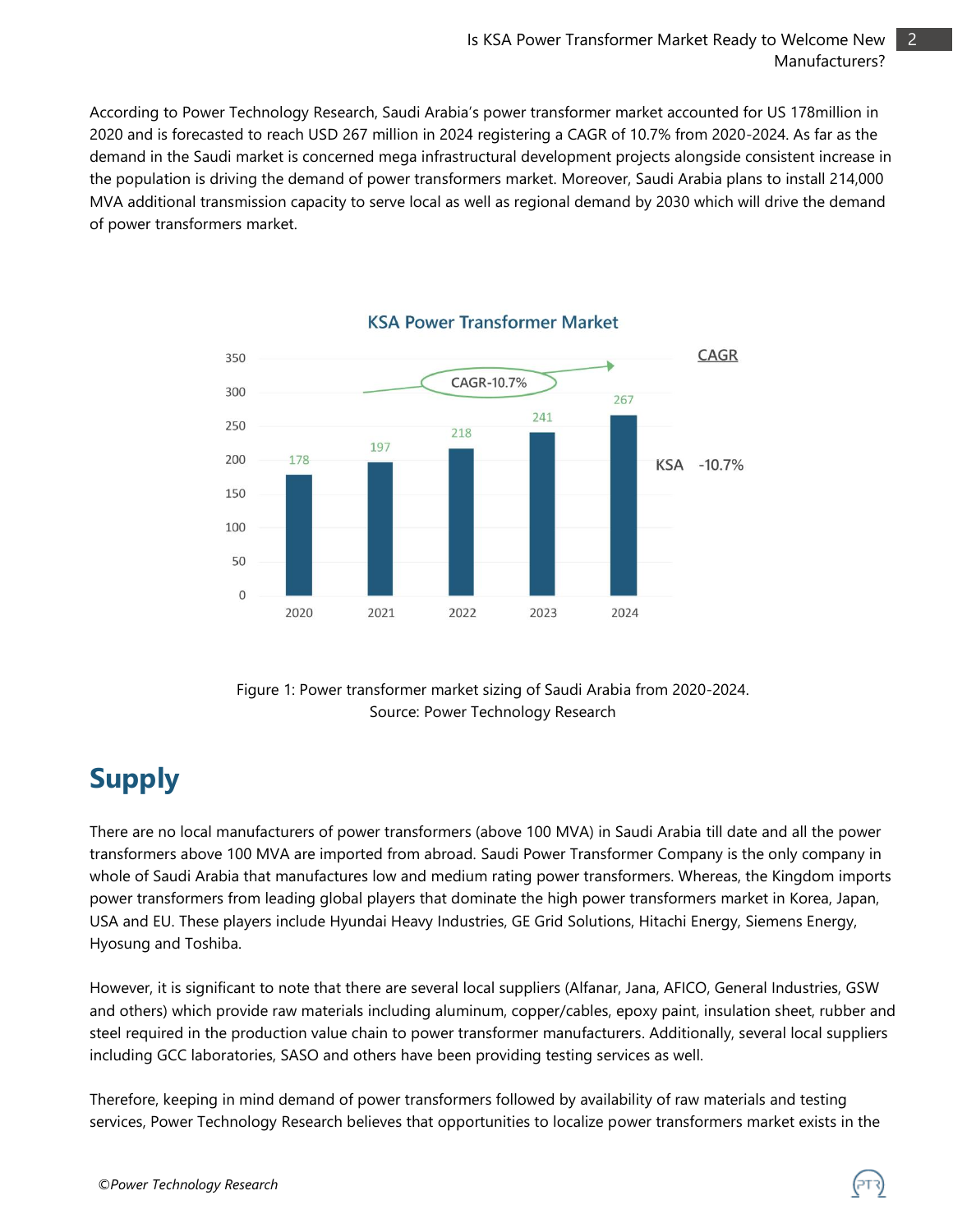According to Power Technology Research, Saudi Arabia's power transformer market accounted for US 178million in 2020 and is forecasted to reach USD 267 million in 2024 registering a CAGR of 10.7% from 2020-2024. As far as the demand in the Saudi market is concerned mega infrastructural development projects alongside consistent increase in the population is driving the demand of power transformers market. Moreover, Saudi Arabia plans to install 214,000 MVA additional transmission capacity to serve local as well as regional demand by 2030 which will drive the demand of power transformers market.



**KSA Power Transformer Market** 

Figure 1: Power transformer market sizing of Saudi Arabia from 2020-2024. Source: Power Technology Research

# **Supply**

There are no local manufacturers of power transformers (above 100 MVA) in Saudi Arabia till date and all the power transformers above 100 MVA are imported from abroad. Saudi Power Transformer Company is the only company in whole of Saudi Arabia that manufactures low and medium rating power transformers. Whereas, the Kingdom imports power transformers from leading global players that dominate the high power transformers market in Korea, Japan, USA and EU. These players include Hyundai Heavy Industries, GE Grid Solutions, Hitachi Energy, Siemens Energy, Hyosung and Toshiba.

However, it is significant to note that there are several local suppliers (Alfanar, Jana, AFICO, General Industries, GSW and others) which provide raw materials including aluminum, copper/cables, epoxy paint, insulation sheet, rubber and steel required in the production value chain to power transformer manufacturers. Additionally, several local suppliers including GCC laboratories, SASO and others have been providing testing services as well.

Therefore, keeping in mind demand of power transformers followed by availability of raw materials and testing services, Power Technology Research believes that opportunities to localize power transformers market exists in the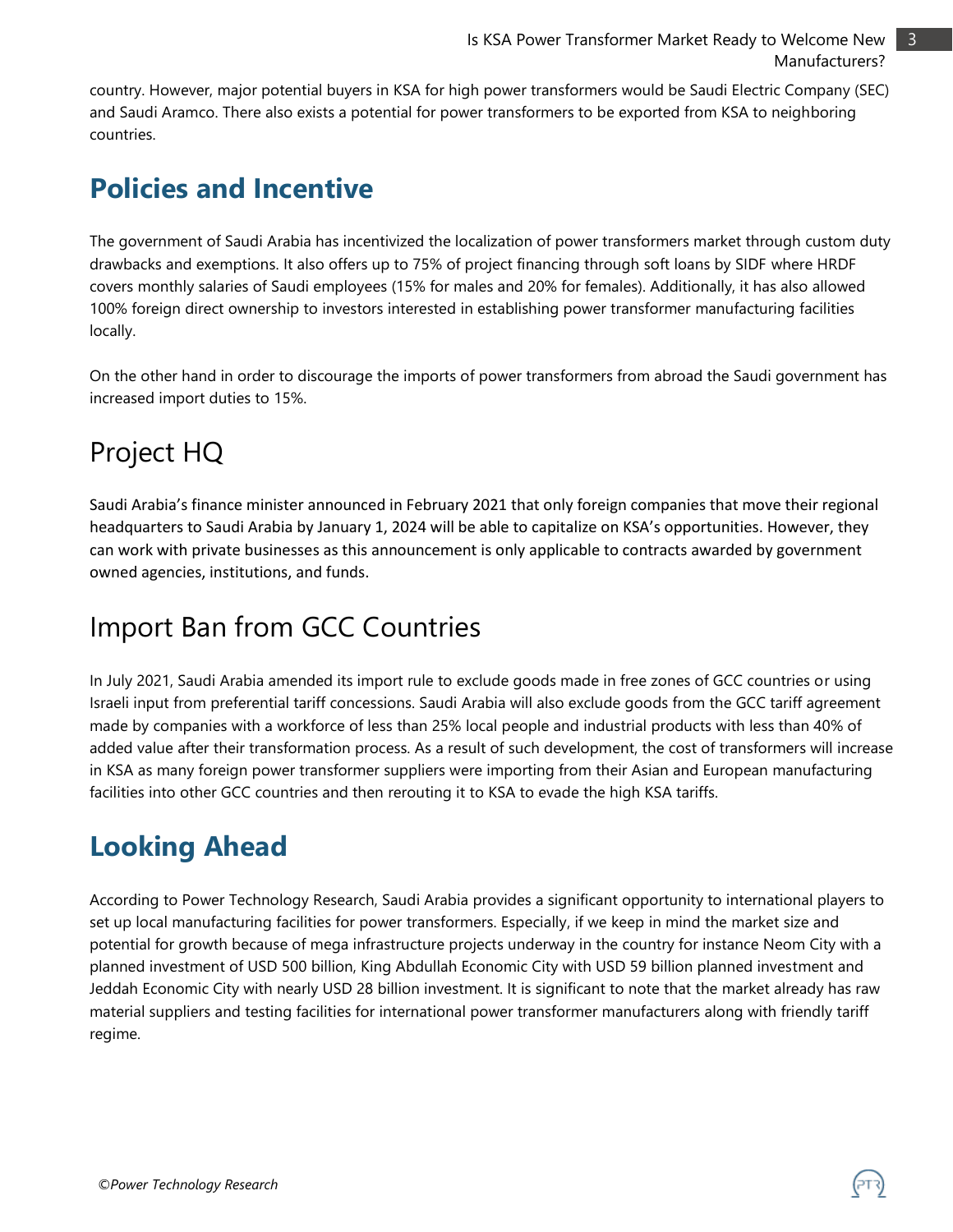country. However, major potential buyers in KSA for high power transformers would be Saudi Electric Company (SEC) and Saudi Aramco. There also exists a potential for power transformers to be exported from KSA to neighboring countries.

## **Policies and Incentive**

The government of Saudi Arabia has incentivized the localization of power transformers market through custom duty drawbacks and exemptions. It also offers up to 75% of project financing through soft loans by SIDF where HRDF covers monthly salaries of Saudi employees (15% for males and 20% for females). Additionally, it has also allowed 100% foreign direct ownership to investors interested in establishing power transformer manufacturing facilities locally.

On the other hand in order to discourage the imports of power transformers from abroad the Saudi government has increased import duties to 15%.

### Project HQ

Saudi Arabia's finance minister announced in February 2021 that only foreign companies that move their regional headquarters to Saudi Arabia by January 1, 2024 will be able to capitalize on KSA's opportunities. However, they can work with private businesses as this announcement is only applicable to contracts awarded by government owned agencies, institutions, and funds.

#### Import Ban from GCC Countries

In July 2021, Saudi Arabia amended its import rule to exclude goods made in free zones of GCC countries or using Israeli input from preferential tariff concessions. Saudi Arabia will also exclude goods from the GCC tariff agreement made by companies with a workforce of less than 25% local people and industrial products with less than 40% of added value after their transformation process. As a result of such development, the cost of transformers will increase in KSA as many foreign power transformer suppliers were importing from their Asian and European manufacturing facilities into other GCC countries and then rerouting it to KSA to evade the high KSA tariffs.

## **Looking Ahead**

According to Power Technology Research, Saudi Arabia provides a significant opportunity to international players to set up local manufacturing facilities for power transformers. Especially, if we keep in mind the market size and potential for growth because of mega infrastructure projects underway in the country for instance Neom City with a planned investment of USD 500 billion, King Abdullah Economic City with USD 59 billion planned investment and Jeddah Economic City with nearly USD 28 billion investment. It is significant to note that the market already has raw material suppliers and testing facilities for international power transformer manufacturers along with friendly tariff regime.